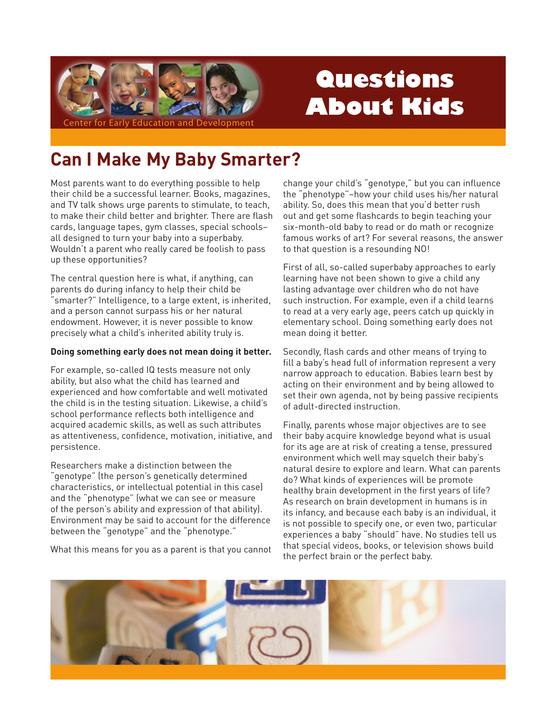

# Questions **About Kids**

## **Can I Make My Baby Smarter?**

Most parents want to do everything possible to help their child be a successful learner. Books, magazines, and TV talk shows urge parents to stimulate, to teach, to make their child better and brighter. There are flash cards, language tapes, gym classes, special schoolsall designed to turn your baby into a superbaby. Wouldn't a parent who really cared be foolish to pass up these opportunities?

The central question here is what, if anything, can parents do during infancy to help their child be "smarter?" Intelligence, to a large extent, is inherited, and a person cannot surpass his or her natural endowment. However, it is never possible to know precisely what a child's inherited ability truly is.

#### Doing something early does not mean doing it better.

For example, so-called IQ tests measure not only ability, but also what the child has learned and experienced and how comfortable and well motivated the child is in the testing situation. Likewise, a child's school performance reflects both intelligence and acquired academic skills, as well as such attributes as attentiveness, confidence, motivation, initiative, and persistence.

Researchers make a distinction between the "genotype" (the person's genetically determined characteristics, or intellectual potential in this case) and the "phenotype" (what we can see or measure of the person's ability and expression of that ability). Environment may be said to account for the difference between the "genotype" and the "phenotype."

What this means for you as a parent is that you cannot

change your child's "genotype," but you can influence the "phenotype"-how your child uses his/her natural ability. So, does this mean that you'd better rush out and get some flashcards to begin teaching your six-month-old baby to read or do math or recognize famous works of art? For several reasons, the answer to that question is a resounding NO!

First of all, so-called superbaby approaches to early learning have not been shown to give a child any lasting advantage over children who do not have such instruction. For example, even if a child learns to read at a very early age, peers catch up quickly in elementary school. Doing something early does not mean doing it better.

Secondly, flash cards and other means of trying to fill a baby's head full of information represent a very narrow approach to education. Babies learn best by acting on their environment and by being allowed to set their own agenda, not by being passive recipients of adult-directed instruction.

Finally, parents whose major objectives are to see their baby acquire knowledge beyond what is usual for its age are at risk of creating a tense, pressured environment which well may squelch their baby's natural desire to explore and learn. What can parents do? What kinds of experiences will be promote healthy brain development in the first years of life? As research on brain development in humans is in its infancy, and because each baby is an individual, it is not possible to specify one, or even two, particular experiences a baby "should" have. No studies tell us that special videos, books, or television shows build the perfect brain or the perfect baby.